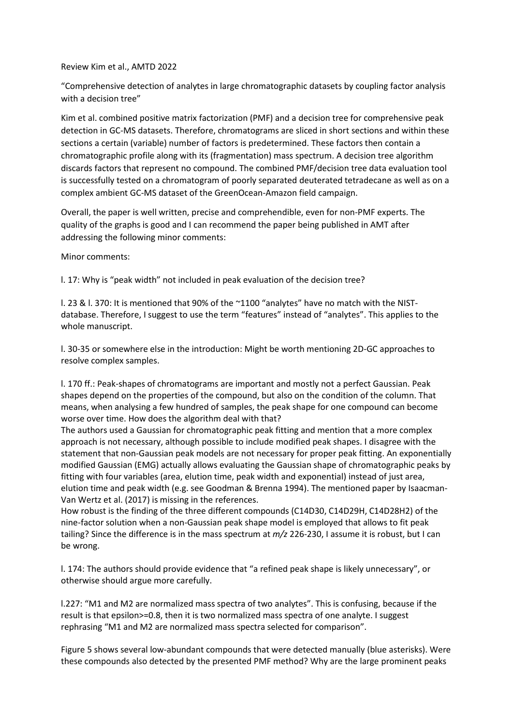## Review Kim et al., AMTD 2022

"Comprehensive detection of analytes in large chromatographic datasets by coupling factor analysis with a decision tree"

Kim et al. combined positive matrix factorization (PMF) and a decision tree for comprehensive peak detection in GC-MS datasets. Therefore, chromatograms are sliced in short sections and within these sections a certain (variable) number of factors is predetermined. These factors then contain a chromatographic profile along with its (fragmentation) mass spectrum. A decision tree algorithm discards factors that represent no compound. The combined PMF/decision tree data evaluation tool is successfully tested on a chromatogram of poorly separated deuterated tetradecane as well as on a complex ambient GC-MS dataset of the GreenOcean-Amazon field campaign.

Overall, the paper is well written, precise and comprehendible, even for non-PMF experts. The quality of the graphs is good and I can recommend the paper being published in AMT after addressing the following minor comments:

## Minor comments:

l. 17: Why is "peak width" not included in peak evaluation of the decision tree?

l. 23 & l. 370: It is mentioned that 90% of the ~1100 "analytes" have no match with the NISTdatabase. Therefore, I suggest to use the term "features" instead of "analytes". This applies to the whole manuscript.

l. 30-35 or somewhere else in the introduction: Might be worth mentioning 2D-GC approaches to resolve complex samples.

l. 170 ff.: Peak-shapes of chromatograms are important and mostly not a perfect Gaussian. Peak shapes depend on the properties of the compound, but also on the condition of the column. That means, when analysing a few hundred of samples, the peak shape for one compound can become worse over time. How does the algorithm deal with that?

The authors used a Gaussian for chromatographic peak fitting and mention that a more complex approach is not necessary, although possible to include modified peak shapes. I disagree with the statement that non-Gaussian peak models are not necessary for proper peak fitting. An exponentially modified Gaussian (EMG) actually allows evaluating the Gaussian shape of chromatographic peaks by fitting with four variables (area, elution time, peak width and exponential) instead of just area, elution time and peak width (e.g. see Goodman & Brenna 1994). The mentioned paper by Isaacman-Van Wertz et al. (2017) is missing in the references.

How robust is the finding of the three different compounds (C14D30, C14D29H, C14D28H2) of the nine-factor solution when a non-Gaussian peak shape model is employed that allows to fit peak tailing? Since the difference is in the mass spectrum at *m/z* 226-230, I assume it is robust, but I can be wrong.

l. 174: The authors should provide evidence that "a refined peak shape is likely unnecessary", or otherwise should argue more carefully.

l.227: "M1 and M2 are normalized mass spectra of two analytes". This is confusing, because if the result is that epsilon>=0.8, then it is two normalized mass spectra of one analyte. I suggest rephrasing "M1 and M2 are normalized mass spectra selected for comparison".

Figure 5 shows several low-abundant compounds that were detected manually (blue asterisks). Were these compounds also detected by the presented PMF method? Why are the large prominent peaks